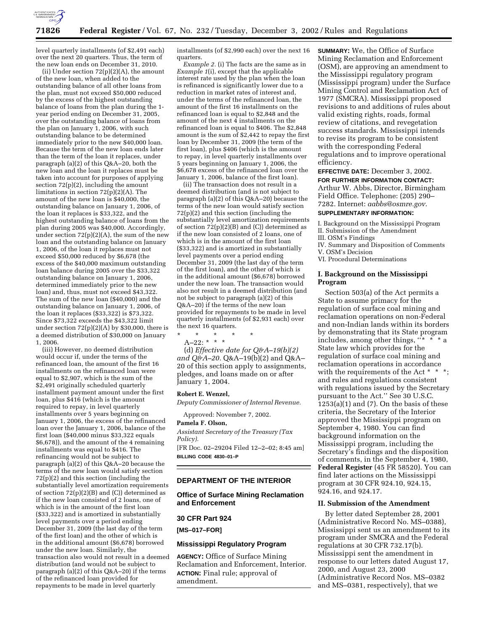

level quarterly installments (of \$2,491 each) over the next 20 quarters. Thus, the term of the new loan ends on December 31, 2010.

(ii) Under section 72(p)(2)(A), the amount of the new loan, when added to the outstanding balance of all other loans from the plan, must not exceed \$50,000 reduced by the excess of the highest outstanding balance of loans from the plan during the 1 year period ending on December 31, 2005, over the outstanding balance of loans from the plan on January 1, 2006, with such outstanding balance to be determined immediately prior to the new \$40,000 loan. Because the term of the new loan ends later than the term of the loan it replaces, under paragraph (a)(2) of this Q&A–20, both the new loan and the loan it replaces must be taken into account for purposes of applying section  $72(p)(2)$ , including the amount limitations in section 72(p)(2)(A). The amount of the new loan is \$40,000, the outstanding balance on January 1, 2006, of the loan it replaces is \$33,322, and the highest outstanding balance of loans from the plan during 2005 was \$40,000. Accordingly, under section  $72(p)(2)(A)$ , the sum of the new loan and the outstanding balance on January 1, 2006, of the loan it replaces must not exceed \$50,000 reduced by \$6,678 (the excess of the \$40,000 maximum outstanding loan balance during 2005 over the \$33,322 outstanding balance on January 1, 2006, determined immediately prior to the new loan) and, thus, must not exceed \$43,322. The sum of the new loan (\$40,000) and the outstanding balance on January 1, 2006, of the loan it replaces (\$33,322) is \$73,322. Since \$73,322 exceeds the \$43,322 limit under section  $72(p)(2)(A)$  by \$30,000, there is a deemed distribution of \$30,000 on January 1, 2006.

(iii) However, no deemed distribution would occur if, under the terms of the refinanced loan, the amount of the first 16 installments on the refinanced loan were equal to \$2,907, which is the sum of the \$2,491 originally scheduled quarterly installment payment amount under the first loan, plus \$416 (which is the amount required to repay, in level quarterly installments over 5 years beginning on January 1, 2006, the excess of the refinanced loan over the January 1, 2006, balance of the first loan (\$40,000 minus \$33,322 equals \$6,678)), and the amount of the 4 remaining installments was equal to \$416. The refinancing would not be subject to paragraph (a)(2) of this Q&A–20 because the terms of the new loan would satisfy section 72(p)(2) and this section (including the substantially level amortization requirements of section 72(p)(2)(B) and (C)) determined as if the new loan consisted of 2 loans, one of which is in the amount of the first loan (\$33,322) and is amortized in substantially level payments over a period ending December 31, 2009 (the last day of the term of the first loan) and the other of which is in the additional amount (\$6,678) borrowed under the new loan. Similarly, the transaction also would not result in a deemed distribution (and would not be subject to paragraph (a)(2) of this  $Q&A-20$ ) if the terms of the refinanced loan provided for repayments to be made in level quarterly

installments (of \$2,990 each) over the next 16 quarters.

*Example 2.* (i) The facts are the same as in *Example 1*(i), except that the applicable interest rate used by the plan when the loan is refinanced is significantly lower due to a reduction in market rates of interest and, under the terms of the refinanced loan, the amount of the first 16 installments on the refinanced loan is equal to \$2,848 and the amount of the next 4 installments on the refinanced loan is equal to \$406. The \$2,848 amount is the sum of \$2,442 to repay the first loan by December 31, 2009 (the term of the first loan), plus \$406 (which is the amount to repay, in level quarterly installments over 5 years beginning on January 1, 2006, the \$6,678 excess of the refinanced loan over the January 1, 2006, balance of the first loan).

(ii) The transaction does not result in a deemed distribution (and is not subject to paragraph (a)(2) of this Q&A–20) because the terms of the new loan would satisfy section 72(p)(2) and this section (including the substantially level amortization requirements of section  $72(p)(2)(B)$  and  $(C)$ ) determined as if the new loan consisted of 2 loans, one of which is in the amount of the first loan (\$33,322) and is amortized in substantially level payments over a period ending December 31, 2009 (the last day of the term of the first loan), and the other of which is in the additional amount (\$6,678) borrowed under the new loan. The transaction would also not result in a deemed distribution (and not be subject to paragraph (a)(2) of this Q&A–20) if the terms of the new loan provided for repayments to be made in level quarterly installments (of \$2,931 each) over the next 16 quarters.

\* \* \* \* \* A–22: \* \* \*

(d) *Effective date for Q&A–19(b)(2) and Q&A–20.* Q&A–19(b)(2) and Q&A– 20 of this section apply to assignments, pledges, and loans made on or after January 1, 2004.

#### **Robert E. Wenzel,**

*Deputy Commissioner of Internal Revenue.*

Approved: November 7, 2002.

### **Pamela F. Olson,**

*Assistant Secretary of the Treasury (Tax Policy).*

[FR Doc. 02–29204 Filed 12–2–02; 8:45 am] **BILLING CODE 4830–01–P**

# **DEPARTMENT OF THE INTERIOR**

### **Office of Surface Mining Reclamation and Enforcement**

### **30 CFR Part 924**

**[MS–017–FOR]** 

#### **Mississippi Regulatory Program**

**AGENCY:** Office of Surface Mining Reclamation and Enforcement, Interior. **ACTION:** Final rule; approval of amendment.

**SUMMARY:** We, the Office of Surface Mining Reclamation and Enforcement (OSM), are approving an amendment to the Mississippi regulatory program (Mississippi program) under the Surface Mining Control and Reclamation Act of 1977 (SMCRA). Mississippi proposed revisions to and additions of rules about valid existing rights, roads, formal review of citations, and revegetation success standards. Mississippi intends to revise its program to be consistent with the corresponding Federal regulations and to improve operational efficiency.

**EFFECTIVE DATE:** December 3, 2002. **FOR FURTHER INFORMATION CONTACT:** Arthur W. Abbs, Director, Birmingham Field Office. Telephone: (205) 290– 7282. Internet: *aabbs@osmre.gov*.

### **SUPPLEMENTARY INFORMATION:**

- I. Background on the Mississippi Program
- II. Submission of the Amendment
- III. OSM's Findings
- IV. Summary and Disposition of Comments V. OSM's Decision
- VI. Procedural Determinations

## **I. Background on the Mississippi Program**

Section 503(a) of the Act permits a State to assume primacy for the regulation of surface coal mining and reclamation operations on non-Federal and non-Indian lands within its borders by demonstrating that its State program includes, among other things,  $\cdots$ State law which provides for the regulation of surface coal mining and reclamation operations in accordance with the requirements of the Act \* \* \*; and rules and regulations consistent with regulations issued by the Secretary pursuant to the Act.'' See 30 U.S.C.  $1253(a)(1)$  and  $(7)$ . On the basis of these criteria, the Secretary of the Interior approved the Mississippi program on September 4, 1980. You can find background information on the Mississippi program, including the Secretary's findings and the disposition of comments, in the September 4, 1980, **Federal Register** (45 FR 58520). You can find later actions on the Mississippi program at 30 CFR 924.10, 924.15, 924.16, and 924.17.

### **II. Submission of the Amendment**

By letter dated September 28, 2001 (Administrative Record No. MS–0388), Mississippi sent us an amendment to its program under SMCRA and the Federal regulations at 30 CFR 732.17(b). Mississippi sent the amendment in response to our letters dated August 17, 2000, and August 23, 2000 (Administrative Record Nos. MS–0382 and MS–0381, respectively), that we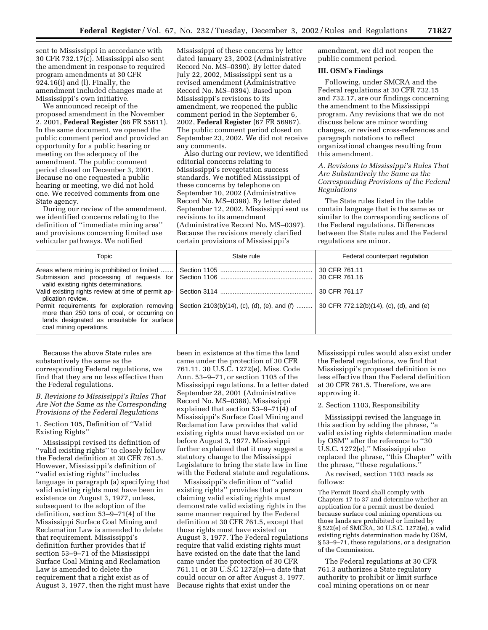sent to Mississippi in accordance with 30 CFR 732.17(c). Mississippi also sent the amendment in response to required program amendments at 30 CFR 924.16(i) and (l). Finally, the amendment included changes made at Mississippi's own initiative.

We announced receipt of the proposed amendment in the November 2, 2001, **Federal Register** (66 FR 55611). In the same document, we opened the public comment period and provided an opportunity for a public hearing or meeting on the adequacy of the amendment. The public comment period closed on December 3, 2001. Because no one requested a public hearing or meeting, we did not hold one. We received comments from one State agency.

During our review of the amendment, we identified concerns relating to the definition of ''immediate mining area'' and provisions concerning limited use vehicular pathways. We notified

Mississippi of these concerns by letter dated January 23, 2002 (Administrative Record No. MS–0390). By letter dated July 22, 2002, Mississippi sent us a revised amendment (Administrative Record No. MS–0394). Based upon Mississippi's revisions to its amendment, we reopened the public comment period in the September 6, 2002, **Federal Register** (67 FR 56967). The public comment period closed on September 23, 2002. We did not receive any comments.

Also during our review, we identified editorial concerns relating to Mississippi's revegetation success standards. We notified Mississippi of these concerns by telephone on September 10, 2002 (Administrative Record No. MS–0398). By letter dated September 12, 2002, Mississippi sent us revisions to its amendment (Administrative Record No. MS–0397). Because the revisions merely clarified certain provisions of Mississippi's

amendment, we did not reopen the public comment period.

### **III. OSM's Findings**

Following, under SMCRA and the Federal regulations at 30 CFR 732.15 and 732.17, are our findings concerning the amendment to the Mississippi program. Any revisions that we do not discuss below are minor wording changes, or revised cross-references and paragraph notations to reflect organizational changes resulting from this amendment.

### *A. Revisions to Mississippi's Rules That Are Substantively the Same as the Corresponding Provisions of the Federal Regulations*

The State rules listed in the table contain language that is the same as or similar to the corresponding sections of the Federal regulations. Differences between the State rules and the Federal regulations are minor.

| Topic                                                                                                                                                                                                              | State rule | Federal counterpart regulation          |  |  |
|--------------------------------------------------------------------------------------------------------------------------------------------------------------------------------------------------------------------|------------|-----------------------------------------|--|--|
| valid existing rights determinations.                                                                                                                                                                              |            | 30 CFR 761.11<br>30 CFR 761.16          |  |  |
| plication review.                                                                                                                                                                                                  |            | 30 CFR 761.17                           |  |  |
| Permit requirements for exploration removing   Section 2103(b)(14), (c), (d), (e), and (f)<br>more than 250 tons of coal, or occurring on<br>lands designated as unsuitable for surface<br>coal mining operations. |            | 30 CFR 772.12(b)(14), (c), (d), and (e) |  |  |

Because the above State rules are substantively the same as the corresponding Federal regulations, we find that they are no less effective than the Federal regulations.

## *B. Revisions to Mississippi's Rules That Are Not the Same as the Corresponding Provisions of the Federal Regulations*

### 1. Section 105, Definition of ''Valid Existing Rights''

Mississippi revised its definition of ''valid existing rights'' to closely follow the Federal definition at 30 CFR 761.5. However, Mississippi's definition of ''valid existing rights'' includes language in paragraph (a) specifying that valid existing rights must have been in existence on August 3, 1977, unless, subsequent to the adoption of the definition, section 53–9–71(4) of the Mississippi Surface Coal Mining and Reclamation Law is amended to delete that requirement. Mississippi's definition further provides that if section 53–9–71 of the Mississippi Surface Coal Mining and Reclamation Law is amended to delete the requirement that a right exist as of August 3, 1977, then the right must have been in existence at the time the land came under the protection of 30 CFR 761.11, 30 U.S.C. 1272(e), Miss. Code Ann. 53–9–71, or section 1105 of the Mississippi regulations. In a letter dated September 28, 2001 (Administrative Record No. MS–0388), Mississippi explained that section 53–9–71(4) of Mississippi's Surface Coal Mining and Reclamation Law provides that valid existing rights must have existed on or before August 3, 1977. Mississippi further explained that it may suggest a statutory change to the Mississippi Legislature to bring the state law in line with the Federal statute and regulations.

Mississippi's definition of ''valid existing rights'' provides that a person claiming valid existing rights must demonstrate valid existing rights in the same manner required by the Federal definition at 30 CFR 761.5, except that those rights must have existed on August 3, 1977. The Federal regulations require that valid existing rights must have existed on the date that the land came under the protection of 30 CFR 761.11 or 30 U.S.C 1272(e)—a date that could occur on or after August 3, 1977. Because rights that exist under the

Mississippi rules would also exist under the Federal regulations, we find that Mississippi's proposed definition is no less effective than the Federal definition at 30 CFR 761.5. Therefore, we are approving it.

### 2. Section 1103, Responsibility

Mississippi revised the language in this section by adding the phrase, ''a valid existing rights determination made by OSM'' after the reference to ''30 U.S.C. 1272(e).'' Mississippi also replaced the phrase, ''this Chapter'' with the phrase, ''these regulations.''

As revised, section 1103 reads as follows:

The Permit Board shall comply with Chapters 17 to 37 and determine whether an application for a permit must be denied because surface coal mining operations on those lands are prohibited or limited by § 522(e) of SMCRA, 30 U.S.C. 1272(e), a valid existing rights determination made by OSM, § 53–9–71, these regulations, or a designation of the Commission.

The Federal regulations at 30 CFR 761.3 authorizes a State regulatory authority to prohibit or limit surface coal mining operations on or near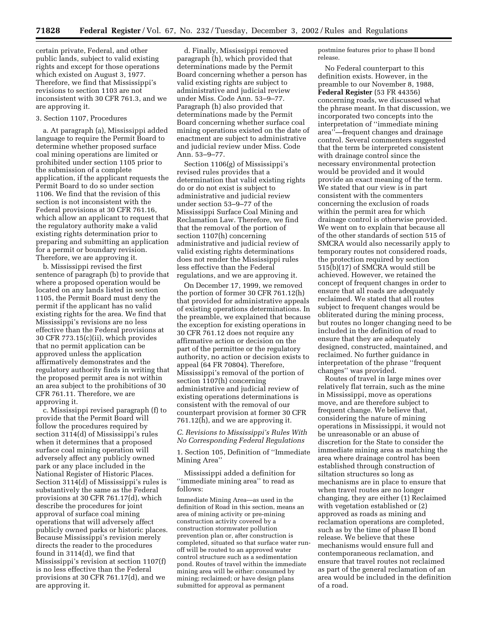certain private, Federal, and other public lands, subject to valid existing rights and except for those operations which existed on August 3, 1977. Therefore, we find that Mississippi's revisions to section 1103 are not inconsistent with 30 CFR 761.3, and we are approving it.

#### 3. Section 1107, Procedures

a. At paragraph (a), Mississippi added language to require the Permit Board to determine whether proposed surface coal mining operations are limited or prohibited under section 1105 prior to the submission of a complete application, if the applicant requests the Permit Board to do so under section 1106. We find that the revision of this section is not inconsistent with the Federal provisions at 30 CFR 761.16, which allow an applicant to request that the regulatory authority make a valid existing rights determination prior to preparing and submitting an application for a permit or boundary revision. Therefore, we are approving it.

b. Mississippi revised the first sentence of paragraph (b) to provide that where a proposed operation would be located on any lands listed in section 1105, the Permit Board must deny the permit if the applicant has no valid existing rights for the area. We find that Mississippi's revisions are no less effective than the Federal provisions at 30 CFR 773.15(c)(ii), which provides that no permit application can be approved unless the application affirmatively demonstrates and the regulatory authority finds in writing that the proposed permit area is not within an area subject to the prohibitions of 30 CFR 761.11. Therefore, we are approving it.

c. Mississippi revised paragraph (f) to provide that the Permit Board will follow the procedures required by section 3114(d) of Mississippi's rules when it determines that a proposed surface coal mining operation will adversely affect any publicly owned park or any place included in the National Register of Historic Places. Section 3114(d) of Mississippi's rules is substantively the same as the Federal provisions at 30 CFR 761.17(d), which describe the procedures for joint approval of surface coal mining operations that will adversely affect publicly owned parks or historic places. Because Mississippi's revision merely directs the reader to the procedures found in 3114(d), we find that Mississippi's revision at section 1107(f) is no less effective than the Federal provisions at 30 CFR 761.17(d), and we are approving it.

d. Finally, Mississippi removed paragraph (h), which provided that determinations made by the Permit Board concerning whether a person has valid existing rights are subject to administrative and judicial review under Miss. Code Ann. 53–9–77. Paragraph (h) also provided that determinations made by the Permit Board concerning whether surface coal mining operations existed on the date of enactment are subject to administrative and judicial review under Miss. Code Ann. 53–9–77.

Section 1106(g) of Mississippi's revised rules provides that a determination that valid existing rights do or do not exist is subject to administrative and judicial review under section 53–9–77 of the Mississippi Surface Coal Mining and Reclamation Law. Therefore, we find that the removal of the portion of section 1107(h) concerning administrative and judicial review of valid existing rights determinations does not render the Mississippi rules less effective than the Federal regulations, and we are approving it.

On December 17, 1999, we removed the portion of former 30 CFR 761.12(h) that provided for administrative appeals of existing operations determinations. In the preamble, we explained that because the exception for existing operations in 30 CFR 761.12 does not require any affirmative action or decision on the part of the permittee or the regulatory authority, no action or decision exists to appeal (64 FR 70804). Therefore, Mississippi's removal of the portion of section 1107(h) concerning administrative and judicial review of existing operations determinations is consistent with the removal of our counterpart provision at former 30 CFR 761.12(h), and we are approving it.

# *C. Revisions to Mississippi's Rules With No Corresponding Federal Regulations*

1. Section 105, Definition of ''Immediate Mining Area''

Mississippi added a definition for ''immediate mining area'' to read as follows:

Immediate Mining Area—as used in the definition of Road in this section, means an area of mining activity or pre-mining construction activity covered by a construction stormwater pollution prevention plan or, after construction is completed, situated so that surface water runoff will be routed to an approved water control structure such as a sedimentation pond. Routes of travel within the immediate mining area will be either: consumed by mining; reclaimed; or have design plans submitted for approval as permanent

postmine features prior to phase II bond release.

No Federal counterpart to this definition exists. However, in the preamble to our November 8, 1988, **Federal Register** (53 FR 44356) concerning roads, we discussed what the phrase meant. In that discussion, we incorporated two concepts into the interpretation of ''immediate mining area''—frequent changes and drainage control. Several commenters suggested that the term be interpreted consistent with drainage control since the necessary environmental protection would be provided and it would provide an exact meaning of the term. We stated that our view is in part consistent with the commenters concerning the exclusion of roads within the permit area for which drainage control is otherwise provided. We went on to explain that because all of the other standards of section 515 of SMCRA would also necessarily apply to temporary routes not considered roads, the protection required by section 515(b)(17) of SMCRA would still be achieved. However, we retained the concept of frequent changes in order to ensure that all roads are adequately reclaimed. We stated that all routes subject to frequent changes would be obliterated during the mining process, but routes no longer changing need to be included in the definition of road to ensure that they are adequately designed, constructed, maintained, and reclaimed. No further guidance in interpretation of the phrase ''frequent changes'' was provided.

Routes of travel in large mines over relatively flat terrain, such as the mine in Mississippi, move as operations move, and are therefore subject to frequent change. We believe that, considering the nature of mining operations in Mississippi, it would not be unreasonable or an abuse of discretion for the State to consider the immediate mining area as matching the area where drainage control has been established through construction of siltation structures so long as mechanisms are in place to ensure that when travel routes are no longer changing, they are either (1) Reclaimed with vegetation established or (2) approved as roads as mining and reclamation operations are completed, such as by the time of phase II bond release. We believe that these mechanisms would ensure full and contemporaneous reclamation, and ensure that travel routes not reclaimed as part of the general reclamation of an area would be included in the definition of a road.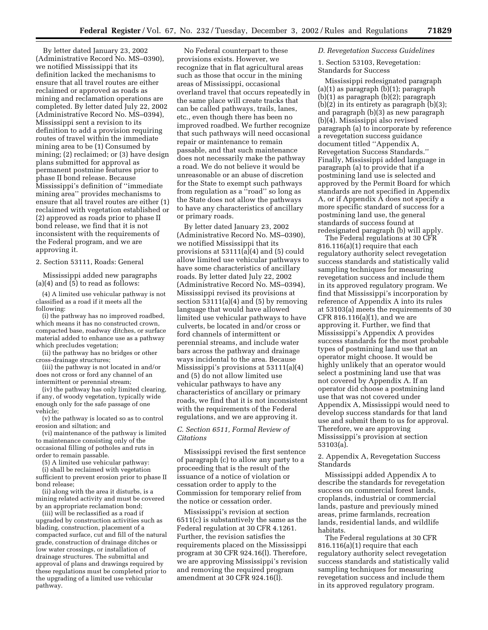By letter dated January 23, 2002 (Administrative Record No. MS–0390), we notified Mississippi that its definition lacked the mechanisms to ensure that all travel routes are either reclaimed or approved as roads as mining and reclamation operations are completed. By letter dated July 22, 2002 (Administrative Record No. MS–0394), Mississippi sent a revision to its definition to add a provision requiring routes of travel within the immediate mining area to be (1) Consumed by mining; (2) reclaimed; or (3) have design plans submitted for approval as permanent postmine features prior to phase II bond release. Because Mississippi's definition of ''immediate mining area'' provides mechanisms to ensure that all travel routes are either (1) reclaimed with vegetation established or (2) approved as roads prior to phase II bond release, we find that it is not inconsistent with the requirements of the Federal program, and we are approving it.

2. Section 53111, Roads: General

Mississippi added new paragraphs (a)(4) and  $(5)$  to read as follows:

(4) A limited use vehicular pathway is not classified as a road if it meets all the following:

(i) the pathway has no improved roadbed, which means it has no constructed crown, compacted base, roadway ditches, or surface material added to enhance use as a pathway which precludes vegetation;

(ii) the pathway has no bridges or other cross-drainage structures;

(iii) the pathway is not located in and/or does not cross or ford any channel of an intermittent or perennial stream;

(iv) the pathway has only limited clearing, if any, of woody vegetation, typically wide enough only for the safe passage of one vehicle;

(v) the pathway is located so as to control erosion and siltation; and

(vi) maintenance of the pathway is limited to maintenance consisting only of the occasional filling of potholes and ruts in order to remain passable.

(5) A limited use vehicular pathway:

(i) shall be reclaimed with vegetation sufficient to prevent erosion prior to phase II bond release;

(ii) along with the area it disturbs, is a mining related activity and must be covered by an appropriate reclamation bond;

(iii) will be reclassified as a road if upgraded by construction activities such as blading, construction, placement of a compacted surface, cut and fill of the natural grade, construction of drainage ditches or low water crossings, or installation of drainage structures. The submittal and approval of plans and drawings required by these regulations must be completed prior to the upgrading of a limited use vehicular pathway.

No Federal counterpart to these provisions exists. However, we recognize that in flat agricultural areas such as those that occur in the mining areas of Mississippi, occasional overland travel that occurs repeatedly in the same place will create tracks that can be called pathways, trails, lanes, etc., even though there has been no improved roadbed. We further recognize that such pathways will need occasional repair or maintenance to remain passable, and that such maintenance does not necessarily make the pathway a road. We do not believe it would be unreasonable or an abuse of discretion for the State to exempt such pathways from regulation as a ''road'' so long as the State does not allow the pathways to have any characteristics of ancillary or primary roads.

By letter dated January 23, 2002 (Administrative Record No. MS–0390), we notified Mississippi that its provisions at 53111(a)(4) and (5) could allow limited use vehicular pathways to have some characteristics of ancillary roads. By letter dated July 22, 2002 (Administrative Record No. MS–0394), Mississippi revised its provisions at section 53111(a)(4) and (5) by removing language that would have allowed limited use vehicular pathways to have culverts, be located in and/or cross or ford channels of intermittent or perennial streams, and include water bars across the pathway and drainage ways incidental to the area. Because Mississippi's provisions at 53111(a)(4) and (5) do not allow limited use vehicular pathways to have any characteristics of ancillary or primary roads, we find that it is not inconsistent with the requirements of the Federal regulations, and we are approving it.

# *C. Section 6511, Formal Review of Citations*

Mississippi revised the first sentence of paragraph (c) to allow any party to a proceeding that is the result of the issuance of a notice of violation or cessation order to apply to the Commission for temporary relief from the notice or cessation order.

Mississippi's revision at section 6511(c) is substantively the same as the Federal regulation at 30 CFR 4.1261. Further, the revision satisfies the requirements placed on the Mississippi program at 30 CFR 924.16(l). Therefore, we are approving Mississippi's revision and removing the required program amendment at 30 CFR 924.16(l).

#### *D. Revegetation Success Guidelines*

1. Section 53103, Revegetation: Standards for Success

Mississippi redesignated paragraph (a)(1) as paragraph (b)(1); paragraph (b)(1) as paragraph (b)(2); paragraph  $(b)(2)$  in its entirety as paragraph  $(b)(3)$ ; and paragraph (b)(3) as new paragraph (b)(4). Mississippi also revised paragraph (a) to incorporate by reference a revegetation success guidance document titled ''Appendix A, Revegetation Success Standards.'' Finally, Mississippi added language in paragraph (a) to provide that if a postmining land use is selected and approved by the Permit Board for which standards are not specified in Appendix A, or if Appendix A does not specify a more specific standard of success for a postmining land use, the general standards of success found at redesignated paragraph (b) will apply.

The Federal regulations at 30 CFR 816.116(a)(1) require that each regulatory authority select revegetation success standards and statistically valid sampling techniques for measuring revegetation success and include them in its approved regulatory program. We find that Mississippi's incorporation by reference of Appendix A into its rules at 53103(a) meets the requirements of 30 CFR 816.116(a)(1), and we are approving it. Further, we find that Mississippi's Appendix A provides success standards for the most probable types of postmining land use that an operator might choose. It would be highly unlikely that an operator would select a postmining land use that was not covered by Appendix A. If an operator did choose a postmining land use that was not covered under Appendix A, Mississippi would need to develop success standards for that land use and submit them to us for approval. Therefore, we are approving Mississippi's provision at section 53103(a).

### 2. Appendix A, Revegetation Success Standards

Mississippi added Appendix A to describe the standards for revegetation success on commercial forest lands, croplands, industrial or commercial lands, pasture and previously mined areas, prime farmlands, recreation lands, residential lands, and wildlife habitats.

The Federal regulations at 30 CFR 816.116(a)(1) require that each regulatory authority select revegetation success standards and statistically valid sampling techniques for measuring revegetation success and include them in its approved regulatory program.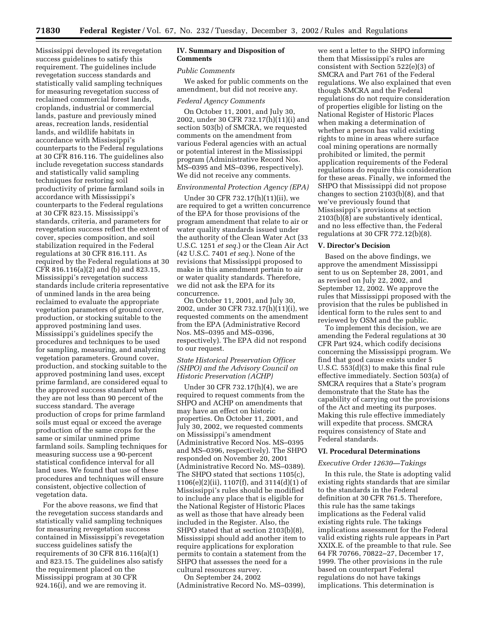Mississippi developed its revegetation success guidelines to satisfy this requirement. The guidelines include revegetation success standards and statistically valid sampling techniques for measuring revegetation success of reclaimed commercial forest lands, croplands, industrial or commercial lands, pasture and previously mined areas, recreation lands, residential lands, and wildlife habitats in accordance with Mississippi's counterparts to the Federal regulations at 30 CFR 816.116. The guidelines also include revegetation success standards and statistically valid sampling techniques for restoring soil productivity of prime farmland soils in accordance with Mississippi's counterparts to the Federal regulations at 30 CFR 823.15. Mississippi's standards, criteria, and parameters for revegetation success reflect the extent of cover, species composition, and soil stabilization required in the Federal regulations at 30 CFR 816.111. As required by the Federal regulations at 30 CFR 816.116(a)(2) and (b) and 823.15, Mississippi's revegetation success standards include criteria representative of unmined lands in the area being reclaimed to evaluate the appropriate vegetation parameters of ground cover, production, or stocking suitable to the approved postmining land uses. Mississippi's guidelines specify the procedures and techniques to be used for sampling, measuring, and analyzing vegetation parameters. Ground cover, production, and stocking suitable to the approved postmining land uses, except prime farmland, are considered equal to the approved success standard when they are not less than 90 percent of the success standard. The average production of crops for prime farmland soils must equal or exceed the average production of the same crops for the same or similar unmined prime farmland soils. Sampling techniques for measuring success use a 90-percent statistical confidence interval for all land uses. We found that use of these procedures and techniques will ensure consistent, objective collection of vegetation data.

For the above reasons, we find that the revegetation success standards and statistically valid sampling techniques for measuring revegetation success contained in Mississippi's revegetation success guidelines satisfy the requirements of 30 CFR 816.116(a)(1) and 823.15. The guidelines also satisfy the requirement placed on the Mississippi program at 30 CFR 924.16(i), and we are removing it.

# **IV. Summary and Disposition of Comments**

#### *Public Comments*

We asked for public comments on the amendment, but did not receive any.

#### *Federal Agency Comments*

On October 11, 2001, and July 30, 2002, under 30 CFR 732.17(h)(11)(i) and section 503(b) of SMCRA, we requested comments on the amendment from various Federal agencies with an actual or potential interest in the Mississippi program (Administrative Record Nos. MS–0395 and MS–0396, respectively). We did not receive any comments.

### *Environmental Protection Agency (EPA)*

Under 30 CFR 732.17(h)(11)(ii), we are required to get a written concurrence of the EPA for those provisions of the program amendment that relate to air or water quality standards issued under the authority of the Clean Water Act (33 U.S.C. 1251 *et seq.*) or the Clean Air Act (42 U.S.C. 7401 *et seq.*). None of the revisions that Mississippi proposed to make in this amendment pertain to air or water quality standards. Therefore, we did not ask the EPA for its concurrence.

On October 11, 2001, and July 30, 2002, under 30 CFR 732.17(h)(11)(i), we requested comments on the amendment from the EPA (Administrative Record Nos. MS–0395 and MS–0396, respectively). The EPA did not respond to our request.

### *State Historical Preservation Officer (SHPO) and the Advisory Council on Historic Preservation (ACHP)*

Under 30 CFR 732.17(h)(4), we are required to request comments from the SHPO and ACHP on amendments that may have an effect on historic properties. On October 11, 2001, and July 30, 2002, we requested comments on Mississippi's amendment (Administrative Record Nos. MS–0395 and MS–0396, respectively). The SHPO responded on November 20, 2001 (Administrative Record No. MS–0389). The SHPO stated that sections 1105(c), 1106(e)(2)(ii), 1107(f), and 3114(d)(1) of Mississippi's rules should be modified to include any place that is eligible for the National Register of Historic Places as well as those that have already been included in the Register. Also, the SHPO stated that at section 2103(b)(8), Mississippi should add another item to require applications for exploration permits to contain a statement from the SHPO that assesses the need for a cultural resources survey. On September 24, 2002

(Administrative Record No. MS–0399),

we sent a letter to the SHPO informing them that Mississippi's rules are consistent with Section 522(e)(3) of SMCRA and Part 761 of the Federal regulations. We also explained that even though SMCRA and the Federal regulations do not require consideration of properties eligible for listing on the National Register of Historic Places when making a determination of whether a person has valid existing rights to mine in areas where surface coal mining operations are normally prohibited or limited, the permit application requirements of the Federal regulations do require this consideration for these areas. Finally, we informed the SHPO that Mississippi did not propose changes to section 2103(b)(8), and that we've previously found that Mississippi's provisions at section 2103(b)(8) are substantively identical, and no less effective than, the Federal regulations at 30 CFR 772.12(b)(8).

#### **V. Director's Decision**

Based on the above findings, we approve the amendment Mississippi sent to us on September 28, 2001, and as revised on July 22, 2002, and September 12, 2002. We approve the rules that Mississippi proposed with the provision that the rules be published in identical form to the rules sent to and reviewed by OSM and the public.

To implement this decision, we are amending the Federal regulations at 30 CFR Part 924, which codify decisions concerning the Mississippi program. We find that good cause exists under 5 U.S.C. 553(d)(3) to make this final rule effective immediately. Section 503(a) of SMCRA requires that a State's program demonstrate that the State has the capability of carrying out the provisions of the Act and meeting its purposes. Making this rule effective immediately will expedite that process. SMCRA requires consistency of State and Federal standards.

#### **VI. Procedural Determinations**

#### *Executive Order 12630—Takings*

In this rule, the State is adopting valid existing rights standards that are similar to the standards in the Federal definition at 30 CFR 761.5. Therefore, this rule has the same takings implications as the Federal valid existing rights rule. The takings implications assessment for the Federal valid existing rights rule appears in Part XXIX.E. of the preamble to that rule. See 64 FR 70766, 70822–27, December 17, 1999. The other provisions in the rule based on counterpart Federal regulations do not have takings implications. This determination is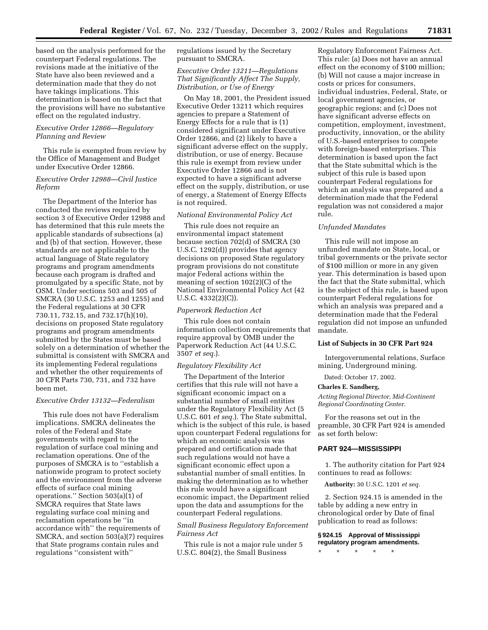based on the analysis performed for the counterpart Federal regulations. The revisions made at the initiative of the State have also been reviewed and a determination made that they do not have takings implications. This determination is based on the fact that the provisions will have no substantive effect on the regulated industry.

# *Executive Order 12866—Regulatory Planning and Review*

This rule is exempted from review by the Office of Management and Budget under Executive Order 12866.

# *Executive Order 12988—Civil Justice Reform*

The Department of the Interior has conducted the reviews required by section 3 of Executive Order 12988 and has determined that this rule meets the applicable standards of subsections (a) and (b) of that section. However, these standards are not applicable to the actual language of State regulatory programs and program amendments because each program is drafted and promulgated by a specific State, not by OSM. Under sections 503 and 505 of SMCRA (30 U.S.C. 1253 and 1255) and the Federal regulations at 30 CFR 730.11, 732.15, and 732.17(h)(10), decisions on proposed State regulatory programs and program amendments submitted by the States must be based solely on a determination of whether the submittal is consistent with SMCRA and its implementing Federal regulations and whether the other requirements of 30 CFR Parts 730, 731, and 732 have been met.

### *Executive Order 13132—Federalism*

This rule does not have Federalism implications. SMCRA delineates the roles of the Federal and State governments with regard to the regulation of surface coal mining and reclamation operations. One of the purposes of SMCRA is to ''establish a nationwide program to protect society and the environment from the adverse effects of surface coal mining operations.'' Section 503(a)(1) of SMCRA requires that State laws regulating surface coal mining and reclamation operations be ''in accordance with'' the requirements of SMCRA, and section 503(a)(7) requires that State programs contain rules and regulations ''consistent with''

regulations issued by the Secretary pursuant to SMCRA.

# *Executive Order 13211—Regulations That Significantly Affect The Supply, Distribution, or Use of Energy*

On May 18, 2001, the President issued Executive Order 13211 which requires agencies to prepare a Statement of Energy Effects for a rule that is (1) considered significant under Executive Order 12866, and (2) likely to have a significant adverse effect on the supply, distribution, or use of energy. Because this rule is exempt from review under Executive Order 12866 and is not expected to have a significant adverse effect on the supply, distribution, or use of energy, a Statement of Energy Effects is not required.

# *National Environmental Policy Act*

This rule does not require an environmental impact statement because section 702(d) of SMCRA (30 U.S.C. 1292(d)) provides that agency decisions on proposed State regulatory program provisions do not constitute major Federal actions within the meaning of section 102(2)(C) of the National Environmental Policy Act (42 U.S.C. 4332(2)(C)).

#### *Paperwork Reduction Act*

This rule does not contain information collection requirements that require approval by OMB under the Paperwork Reduction Act (44 U.S.C. 3507 *et seq.*).

# *Regulatory Flexibility Act*

The Department of the Interior certifies that this rule will not have a significant economic impact on a substantial number of small entities under the Regulatory Flexibility Act (5 U.S.C. 601 *et seq.*). The State submittal, which is the subject of this rule, is based upon counterpart Federal regulations for which an economic analysis was prepared and certification made that such regulations would not have a significant economic effect upon a substantial number of small entities. In making the determination as to whether this rule would have a significant economic impact, the Department relied upon the data and assumptions for the counterpart Federal regulations.

# *Small Business Regulatory Enforcement Fairness Act*

This rule is not a major rule under 5 U.S.C. 804(2), the Small Business

Regulatory Enforcement Fairness Act. This rule: (a) Does not have an annual effect on the economy of \$100 million; (b) Will not cause a major increase in costs or prices for consumers, individual industries, Federal, State, or local government agencies, or geographic regions; and (c) Does not have significant adverse effects on competition, employment, investment, productivity, innovation, or the ability of U.S.-based enterprises to compete with foreign-based enterprises. This determination is based upon the fact that the State submittal which is the subject of this rule is based upon counterpart Federal regulations for which an analysis was prepared and a determination made that the Federal regulation was not considered a major rule.

#### *Unfunded Mandates*

This rule will not impose an unfunded mandate on State, local, or tribal governments or the private sector of \$100 million or more in any given year. This determination is based upon the fact that the State submittal, which is the subject of this rule, is based upon counterpart Federal regulations for which an analysis was prepared and a determination made that the Federal regulation did not impose an unfunded mandate.

#### **List of Subjects in 30 CFR Part 924**

Intergovernmental relations, Surface mining, Underground mining.

Dated: October 17, 2002.

#### **Charles E. Sandberg,**

*Acting Regional Director, Mid-Continent Regional Coordinating Center.*

For the reasons set out in the preamble, 30 CFR Part 924 is amended as set forth below:

### **PART 924—MISSISSIPPI**

1. The authority citation for Part 924 continues to read as follows:

**Authority:** 30 U.S.C. 1201 *et seq.*

2. Section 924.15 is amended in the table by adding a new entry in chronological order by Date of final publication to read as follows:

## **§ 924.15 Approval of Mississippi regulatory program amendments.**

\* \* \* \* \*